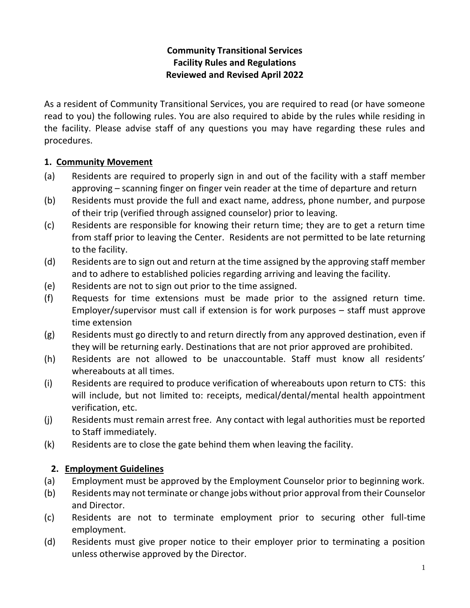## **Community Transitional Services Facility Rules and Regulations Reviewed and Revised April 2022**

As a resident of Community Transitional Services, you are required to read (or have someone read to you) the following rules. You are also required to abide by the rules while residing in the facility. Please advise staff of any questions you may have regarding these rules and procedures.

## **1. Community Movement**

- (a) Residents are required to properly sign in and out of the facility with a staff member approving – scanning finger on finger vein reader at the time of departure and return
- (b) Residents must provide the full and exact name, address, phone number, and purpose of their trip (verified through assigned counselor) prior to leaving.
- (c) Residents are responsible for knowing their return time; they are to get a return time from staff prior to leaving the Center. Residents are not permitted to be late returning to the facility.
- (d) Residents are to sign out and return at the time assigned by the approving staff member and to adhere to established policies regarding arriving and leaving the facility.
- (e) Residents are not to sign out prior to the time assigned.
- (f) Requests for time extensions must be made prior to the assigned return time. Employer/supervisor must call if extension is for work purposes – staff must approve time extension
- (g) Residents must go directly to and return directly from any approved destination, even if they will be returning early. Destinations that are not prior approved are prohibited.
- (h) Residents are not allowed to be unaccountable. Staff must know all residents' whereabouts at all times.
- (i) Residents are required to produce verification of whereabouts upon return to CTS: this will include, but not limited to: receipts, medical/dental/mental health appointment verification, etc.
- (j) Residents must remain arrest free. Any contact with legal authorities must be reported to Staff immediately.
- (k) Residents are to close the gate behind them when leaving the facility.

## **2. Employment Guidelines**

- (a) Employment must be approved by the Employment Counselor prior to beginning work.
- (b) Residents may not terminate or change jobs without prior approval from their Counselor and Director.
- (c) Residents are not to terminate employment prior to securing other full-time employment.
- (d) Residents must give proper notice to their employer prior to terminating a position unless otherwise approved by the Director.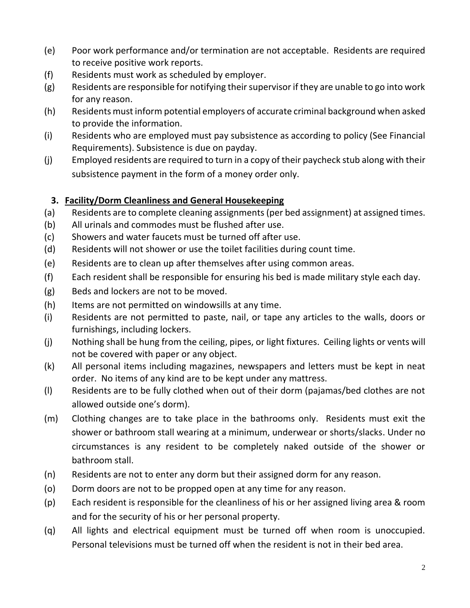- (e) Poor work performance and/or termination are not acceptable. Residents are required to receive positive work reports.
- (f) Residents must work as scheduled by employer.
- (g) Residents are responsible for notifying their supervisor if they are unable to go into work for any reason.
- (h) Residents must inform potential employers of accurate criminal background when asked to provide the information.
- (i) Residents who are employed must pay subsistence as according to policy (See Financial Requirements). Subsistence is due on payday.
- (j) Employed residents are required to turn in a copy of their paycheck stub along with their subsistence payment in the form of a money order only.

## **3. Facility/Dorm Cleanliness and General Housekeeping**

- (a) Residents are to complete cleaning assignments (per bed assignment) at assigned times.
- (b) All urinals and commodes must be flushed after use.
- (c) Showers and water faucets must be turned off after use.
- (d) Residents will not shower or use the toilet facilities during count time.
- (e) Residents are to clean up after themselves after using common areas.
- (f) Each resident shall be responsible for ensuring his bed is made military style each day.
- (g) Beds and lockers are not to be moved.
- (h) Items are not permitted on windowsills at any time.
- (i) Residents are not permitted to paste, nail, or tape any articles to the walls, doors or furnishings, including lockers.
- (j) Nothing shall be hung from the ceiling, pipes, or light fixtures. Ceiling lights or vents will not be covered with paper or any object.
- (k) All personal items including magazines, newspapers and letters must be kept in neat order. No items of any kind are to be kept under any mattress.
- (l) Residents are to be fully clothed when out of their dorm (pajamas/bed clothes are not allowed outside one's dorm).
- (m) Clothing changes are to take place in the bathrooms only. Residents must exit the shower or bathroom stall wearing at a minimum, underwear or shorts/slacks. Under no circumstances is any resident to be completely naked outside of the shower or bathroom stall.
- (n) Residents are not to enter any dorm but their assigned dorm for any reason.
- (o) Dorm doors are not to be propped open at any time for any reason.
- (p) Each resident is responsible for the cleanliness of his or her assigned living area & room and for the security of his or her personal property.
- (q) All lights and electrical equipment must be turned off when room is unoccupied. Personal televisions must be turned off when the resident is not in their bed area.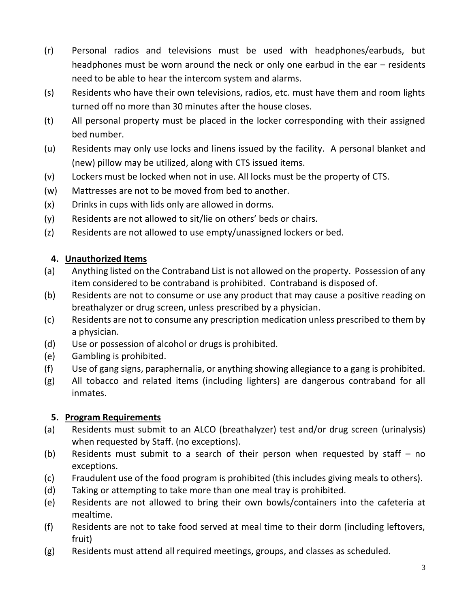- (r) Personal radios and televisions must be used with headphones/earbuds, but headphones must be worn around the neck or only one earbud in the ear – residents need to be able to hear the intercom system and alarms.
- (s) Residents who have their own televisions, radios, etc. must have them and room lights turned off no more than 30 minutes after the house closes.
- (t) All personal property must be placed in the locker corresponding with their assigned bed number.
- (u) Residents may only use locks and linens issued by the facility. A personal blanket and (new) pillow may be utilized, along with CTS issued items.
- (v) Lockers must be locked when not in use. All locks must be the property of CTS.
- (w) Mattresses are not to be moved from bed to another.
- (x) Drinks in cups with lids only are allowed in dorms.
- (y) Residents are not allowed to sit/lie on others' beds or chairs.
- (z) Residents are not allowed to use empty/unassigned lockers or bed.

# **4. Unauthorized Items**

- (a) Anything listed on the Contraband List is not allowed on the property. Possession of any item considered to be contraband is prohibited. Contraband is disposed of.
- (b) Residents are not to consume or use any product that may cause a positive reading on breathalyzer or drug screen, unless prescribed by a physician.
- (c) Residents are not to consume any prescription medication unless prescribed to them by a physician.
- (d) Use or possession of alcohol or drugs is prohibited.
- (e) Gambling is prohibited.
- (f) Use of gang signs, paraphernalia, or anything showing allegiance to a gang is prohibited.
- (g) All tobacco and related items (including lighters) are dangerous contraband for all inmates.

# **5. Program Requirements**

- (a) Residents must submit to an ALCO (breathalyzer) test and/or drug screen (urinalysis) when requested by Staff. (no exceptions).
- (b) Residents must submit to a search of their person when requested by staff no exceptions.
- (c) Fraudulent use of the food program is prohibited (this includes giving meals to others).
- (d) Taking or attempting to take more than one meal tray is prohibited.
- (e) Residents are not allowed to bring their own bowls/containers into the cafeteria at mealtime.
- (f) Residents are not to take food served at meal time to their dorm (including leftovers, fruit)
- (g) Residents must attend all required meetings, groups, and classes as scheduled.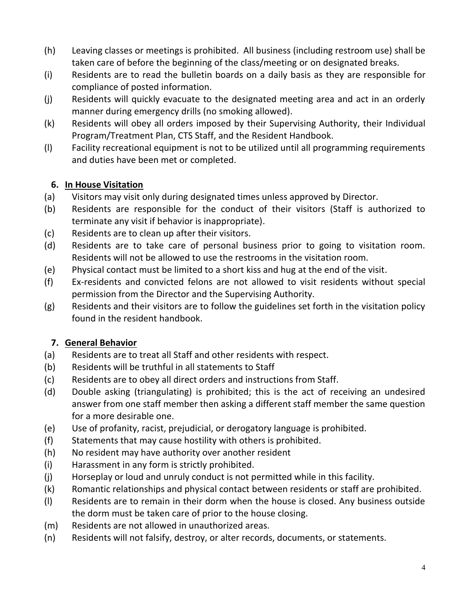- (h) Leaving classes or meetings is prohibited. All business (including restroom use) shall be taken care of before the beginning of the class/meeting or on designated breaks.
- (i) Residents are to read the bulletin boards on a daily basis as they are responsible for compliance of posted information.
- (j) Residents will quickly evacuate to the designated meeting area and act in an orderly manner during emergency drills (no smoking allowed).
- (k) Residents will obey all orders imposed by their Supervising Authority, their Individual Program/Treatment Plan, CTS Staff, and the Resident Handbook.
- (l) Facility recreational equipment is not to be utilized until all programming requirements and duties have been met or completed.

## **6. In House Visitation**

- (a) Visitors may visit only during designated times unless approved by Director.
- (b) Residents are responsible for the conduct of their visitors (Staff is authorized to terminate any visit if behavior is inappropriate).
- (c) Residents are to clean up after their visitors.
- (d) Residents are to take care of personal business prior to going to visitation room. Residents will not be allowed to use the restrooms in the visitation room.
- (e) Physical contact must be limited to a short kiss and hug at the end of the visit.
- (f) Ex-residents and convicted felons are not allowed to visit residents without special permission from the Director and the Supervising Authority.
- (g) Residents and their visitors are to follow the guidelines set forth in the visitation policy found in the resident handbook.

## **7. General Behavior**

- (a) Residents are to treat all Staff and other residents with respect.
- (b) Residents will be truthful in all statements to Staff
- (c) Residents are to obey all direct orders and instructions from Staff.
- (d) Double asking (triangulating) is prohibited; this is the act of receiving an undesired answer from one staff member then asking a different staff member the same question for a more desirable one.
- (e) Use of profanity, racist, prejudicial, or derogatory language is prohibited.
- (f) Statements that may cause hostility with others is prohibited.
- (h) No resident may have authority over another resident
- (i) Harassment in any form is strictly prohibited.
- (j) Horseplay or loud and unruly conduct is not permitted while in this facility.
- (k) Romantic relationships and physical contact between residents or staff are prohibited.
- (l) Residents are to remain in their dorm when the house is closed. Any business outside the dorm must be taken care of prior to the house closing.
- (m) Residents are not allowed in unauthorized areas.
- (n) Residents will not falsify, destroy, or alter records, documents, or statements.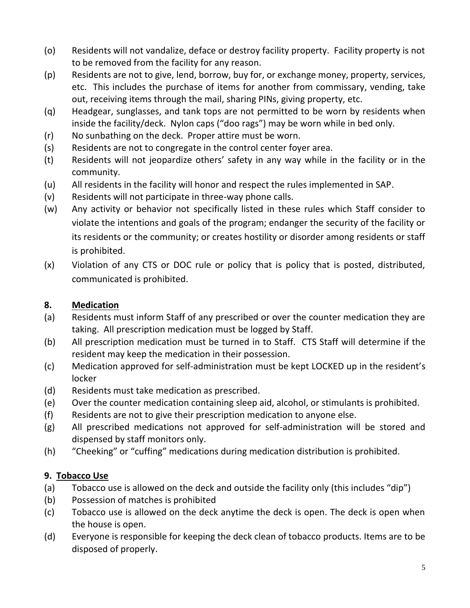- (o) Residents will not vandalize, deface or destroy facility property. Facility property is not to be removed from the facility for any reason.
- (p) Residents are not to give, lend, borrow, buy for, or exchange money, property, services, etc. This includes the purchase of items for another from commissary, vending, take out, receiving items through the mail, sharing PINs, giving property, etc.
- (q) Headgear, sunglasses, and tank tops are not permitted to be worn by residents when inside the facility/deck. Nylon caps ("doo rags") may be worn while in bed only.
- (r) No sunbathing on the deck. Proper attire must be worn.
- (s) Residents are not to congregate in the control center foyer area.
- (t) Residents will not jeopardize others' safety in any way while in the facility or in the community.
- (u) All residents in the facility will honor and respect the rules implemented in SAP.
- (v) Residents will not participate in three-way phone calls.
- (w) Any activity or behavior not specifically listed in these rules which Staff consider to violate the intentions and goals of the program; endanger the security of the facility or its residents or the community; or creates hostility or disorder among residents or staff is prohibited.
- (x) Violation of any CTS or DOC rule or policy that is policy that is posted, distributed, communicated is prohibited.

#### **8. Medication**

- (a) Residents must inform Staff of any prescribed or over the counter medication they are taking. All prescription medication must be logged by Staff.
- (b) All prescription medication must be turned in to Staff. CTS Staff will determine if the resident may keep the medication in their possession.
- (c) Medication approved for self-administration must be kept LOCKED up in the resident's locker
- (d) Residents must take medication as prescribed.
- (e) Over the counter medication containing sleep aid, alcohol, or stimulants is prohibited.
- (f) Residents are not to give their prescription medication to anyone else.
- (g) All prescribed medications not approved for self-administration will be stored and dispensed by staff monitors only.
- (h) "Cheeking" or "cuffing" medications during medication distribution is prohibited.

## **9. Tobacco Use**

- (a) Tobacco use is allowed on the deck and outside the facility only (this includes "dip")
- (b) Possession of matches is prohibited
- (c) Tobacco use is allowed on the deck anytime the deck is open. The deck is open when the house is open.
- (d) Everyone is responsible for keeping the deck clean of tobacco products. Items are to be disposed of properly.